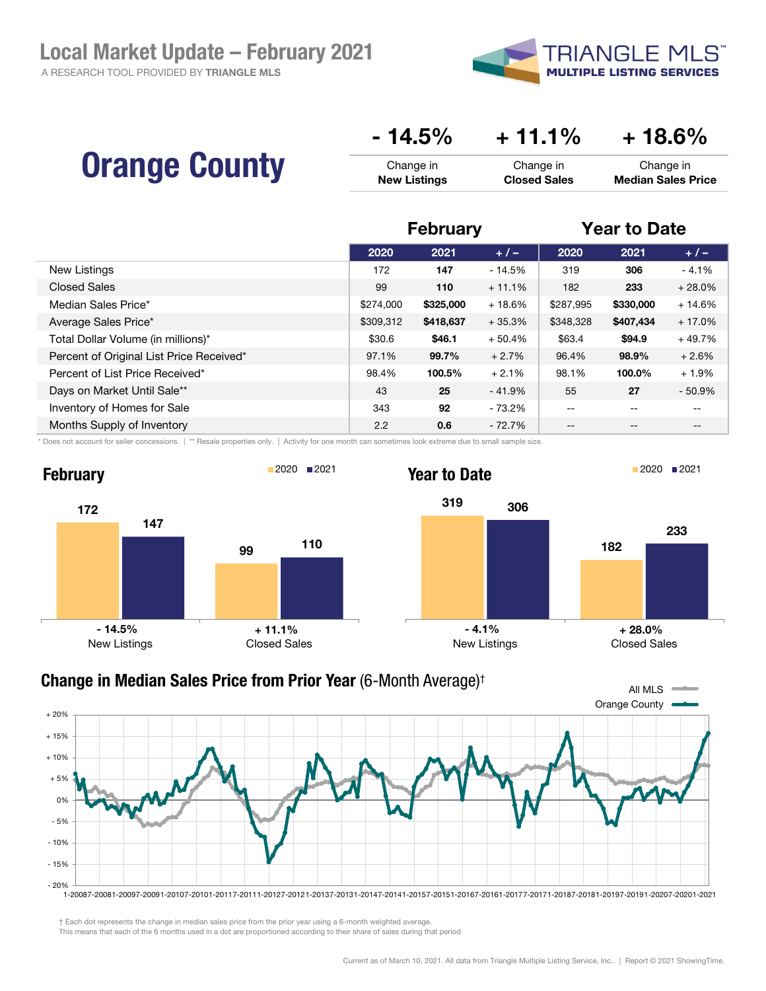A RESEARCH TOOL PROVIDED BY TRIANGLE MLS



|                      | $-14.5%$            | $+11.1\%$           | $+18.6\%$                 |
|----------------------|---------------------|---------------------|---------------------------|
| <b>Orange County</b> | Change in           | Change in           | Change in                 |
|                      | <b>New Listings</b> | <b>Closed Sales</b> | <b>Median Sales Price</b> |

|                                          | <b>February</b> |           | <b>Year to Date</b> |           |           |          |
|------------------------------------------|-----------------|-----------|---------------------|-----------|-----------|----------|
|                                          | 2020            | 2021      | $+/-$               | 2020      | 2021      | $+/-$    |
| New Listings                             | 172             | 147       | $-14.5%$            | 319       | 306       | $-4.1%$  |
| <b>Closed Sales</b>                      | 99              | 110       | $+11.1%$            | 182       | 233       | $+28.0%$ |
| Median Sales Price*                      | \$274,000       | \$325,000 | $+18.6%$            | \$287,995 | \$330,000 | $+14.6%$ |
| Average Sales Price*                     | \$309,312       | \$418,637 | $+35.3%$            | \$348,328 | \$407,434 | $+17.0%$ |
| Total Dollar Volume (in millions)*       | \$30.6          | \$46.1    | $+50.4%$            | \$63.4    | \$94.9    | $+49.7%$ |
| Percent of Original List Price Received* | 97.1%           | 99.7%     | $+2.7%$             | 96.4%     | 98.9%     | $+2.6%$  |
| Percent of List Price Received*          | 98.4%           | 100.5%    | $+2.1%$             | 98.1%     | 100.0%    | $+1.9%$  |
| Days on Market Until Sale**              | 43              | 25        | $-41.9%$            | 55        | 27        | $-50.9%$ |
| Inventory of Homes for Sale              | 343             | 92        | $-73.2%$            | --        | $- -$     | $- -$    |
| Months Supply of Inventory               | 2.2             | 0.6       | $-72.7%$            | --        | $- -$     | --       |

\* Does not account for seller concessions. | \*\* Resale properties only. | Activity for one month can sometimes look extreme due to small sample size.





† Each dot represents the change in median sales price from the prior year using a 6-month weighted average.

This means that each of the 6 months used in a dot are proportioned according to their share of sales during that period